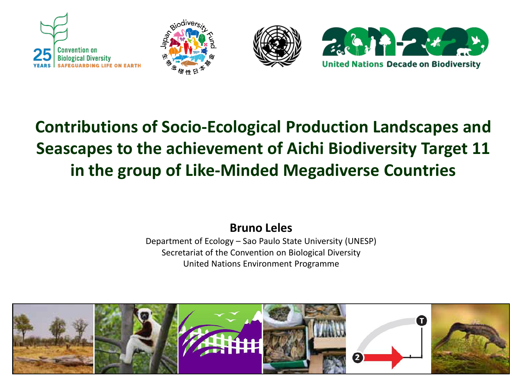







## **Contributions of Socio-Ecological Production Landscapes and Seascapes to the achievement of Aichi Biodiversity Target 11 in the group of Like-Minded Megadiverse Countries**

#### **Bruno Leles**

Department of Ecology – Sao Paulo State University (UNESP) Secretariat of the Convention on Biological Diversity United Nations Environment Programme

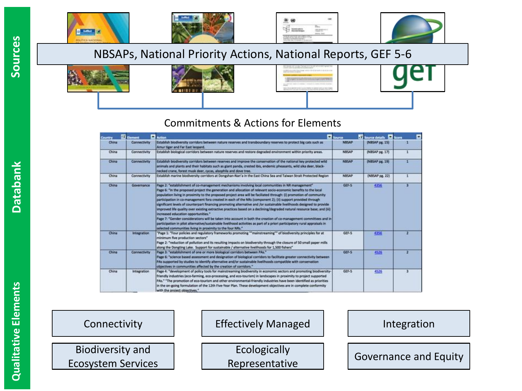





#### NBSAPs, National Priority Actions, National Reports, GEF 5-6



#### Commitments & Actions for Elements

| Country | <b>Ed</b> Element   | Action                                                                                                                                                                                                                                                                                                                                                                                                                                                                                                                                                                                                                                                                                                                                                                                                                                                                                                                                                                                                                                                               | <b>C</b> Source | Si Source details <b>Sil</b> Score | $\overline{\phantom{a}}$ |
|---------|---------------------|----------------------------------------------------------------------------------------------------------------------------------------------------------------------------------------------------------------------------------------------------------------------------------------------------------------------------------------------------------------------------------------------------------------------------------------------------------------------------------------------------------------------------------------------------------------------------------------------------------------------------------------------------------------------------------------------------------------------------------------------------------------------------------------------------------------------------------------------------------------------------------------------------------------------------------------------------------------------------------------------------------------------------------------------------------------------|-----------------|------------------------------------|--------------------------|
| China   | <b>Connectivity</b> | Establish biodiversity corridors between nature reserves and transboundary reserves to protect big cats such as<br>Amur tiger and Far East leopard.                                                                                                                                                                                                                                                                                                                                                                                                                                                                                                                                                                                                                                                                                                                                                                                                                                                                                                                  | <b>NBSAP</b>    | (NBSAP pg. 15)                     |                          |
| China   | Connectivity        | Establish biological corridors between nature reserves and restore degraded environment within priority areas.                                                                                                                                                                                                                                                                                                                                                                                                                                                                                                                                                                                                                                                                                                                                                                                                                                                                                                                                                       | <b>NBSAP</b>    | (NBSAP pg. 17)                     |                          |
| China   | <b>Connectivity</b> | Establish biodiversity corridors between reserves and improve the conservation of the national key protected wild<br>animals and plants and their habitats such as glant panda, crested ibis, endemic pheasants, wild sika deer, black-<br>necked crane, forest musk deer, cycas, alsophila and dove tree.                                                                                                                                                                                                                                                                                                                                                                                                                                                                                                                                                                                                                                                                                                                                                           | <b>NBSAP</b>    | (NBSAP pg. 19)                     |                          |
| China   | Connectivity        | Establish marine biodiversity corridors at Dongshan-Nan'a in the East China Sea and Taiwan Strait Protected Region                                                                                                                                                                                                                                                                                                                                                                                                                                                                                                                                                                                                                                                                                                                                                                                                                                                                                                                                                   | NBSAP           | (NBSAP pg. 22)                     |                          |
| China   | Governance          | Page 2: "establishment of co-management mechanisms involving local communities in NR management"<br>Page 6: "In the proposed project the generation and allocation of relevant socio-economic benefits to the local<br>population living in proximity to the proposed project area will be faciliated through: (i) promotion of community<br>participation in co-management fora created in each of the NRs (component 2); (ii) support provided through<br>significant levels of counterpart financing promoting alternative and /or sustainable livelihoods designed to provide<br>improved life quality over existing extractive practices based on a declining/degraded natural resource base; and (iii)<br>increased education opportunities."<br>Page 7: "Gender considerations will be taken into account in both the creation of co-management committees and in<br>participation in pilot alternative/sustainable livelihood activities as part of a priori participatory rural appraisals in<br>selected communities living in proximity to the four NRs." | GEF-5           | 4356                               | а                        |
| China   | integration         | "Page 1: "Four policies and regulatory frameworks promoting ""mainstreaming"" of biodiversity principles for at<br>minimum five production sectors"<br>Page 2: "reduction of pollution and its resulting impacts on biodiversity through the closure of 50 small paper mills.<br>along the Dongting Lake. Support for sustainable / alternative livelihoods for 1,500 fishers"                                                                                                                                                                                                                                                                                                                                                                                                                                                                                                                                                                                                                                                                                       | GEF-5           | 4356                               |                          |
| China   | Connectivity        | Page 3: "establishment of one or more biological corridors between PAs."<br>Page 6: "science based assessment and designation of biological corridors to facilitate greater connectivity between<br>PAs supported by studies to identify alternative and/or sustainable livelihoods compatible with conservation<br>objectives in communities affected by the creation of corridors."                                                                                                                                                                                                                                                                                                                                                                                                                                                                                                                                                                                                                                                                                | GEF-5           | 4526<br><b>Karlon</b>              | ÷.                       |
| China   | <b>Integration</b>  | Page 4: "development of policy tools for mainstreaming biodiversity in economic sectors and promoting biodiversity-<br>friendly industries (eco-farming, eco-processing, and eco-tourism) in landscapes in proximity to project supported<br>PAs." "The promotion of eco-tourism and other environmental-friendly industries have been identified as priorities<br>in the on-going formulation of the 12th Five-Year Plan. These development objectives are in complete conformity<br>with the nonlast objectives."                                                                                                                                                                                                                                                                                                                                                                                                                                                                                                                                                  | GEF-5           | 4526<br><b>COLOR</b>               | з                        |

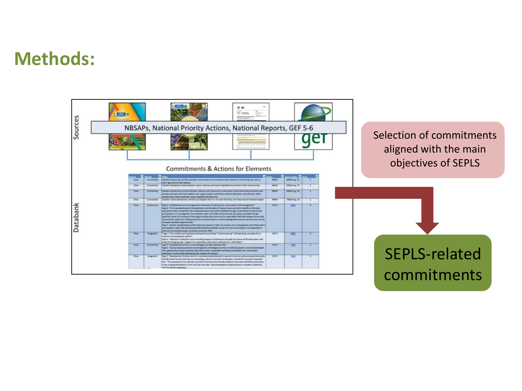## **Methods:**

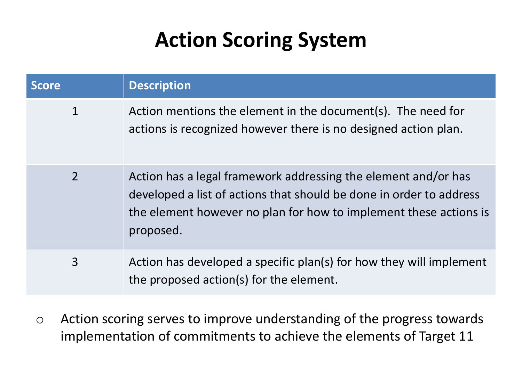# **Action Scoring System**

| <b>Score</b>   | <b>Description</b>                                                                                                                                                                                                      |
|----------------|-------------------------------------------------------------------------------------------------------------------------------------------------------------------------------------------------------------------------|
| $\mathbf 1$    | Action mentions the element in the document(s). The need for<br>actions is recognized however there is no designed action plan.                                                                                         |
| $\overline{2}$ | Action has a legal framework addressing the element and/or has<br>developed a list of actions that should be done in order to address<br>the element however no plan for how to implement these actions is<br>proposed. |
| 3              | Action has developed a specific plan(s) for how they will implement<br>the proposed action(s) for the element.                                                                                                          |

o Action scoring serves to improve understanding of the progress towards implementation of commitments to achieve the elements of Target 11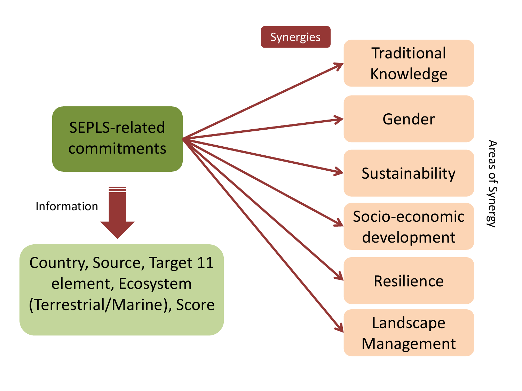

Areas of Synergy Areas of Synergy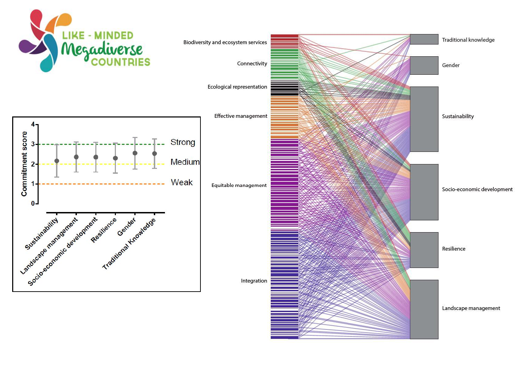

Traditional knowledge Biodiversity and ecosystem services Connectivity Gender Ecological representation Effective management Sustainability Equitable management Socio-economic development Resilience Integration Landscape management

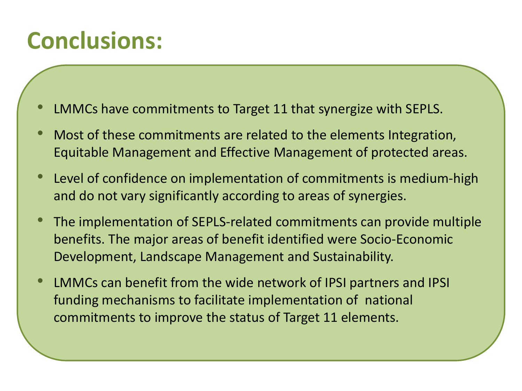# **Conclusions:**

- LMMCs have commitments to Target 11 that synergize with SEPLS.
- Most of these commitments are related to the elements Integration, Equitable Management and Effective Management of protected areas.
- Level of confidence on implementation of commitments is medium-high and do not vary significantly according to areas of synergies.
- The implementation of SEPLS-related commitments can provide multiple benefits. The major areas of benefit identified were Socio-Economic Development, Landscape Management and Sustainability.
- LMMCs can benefit from the wide network of IPSI partners and IPSI funding mechanisms to facilitate implementation of national commitments to improve the status of Target 11 elements.